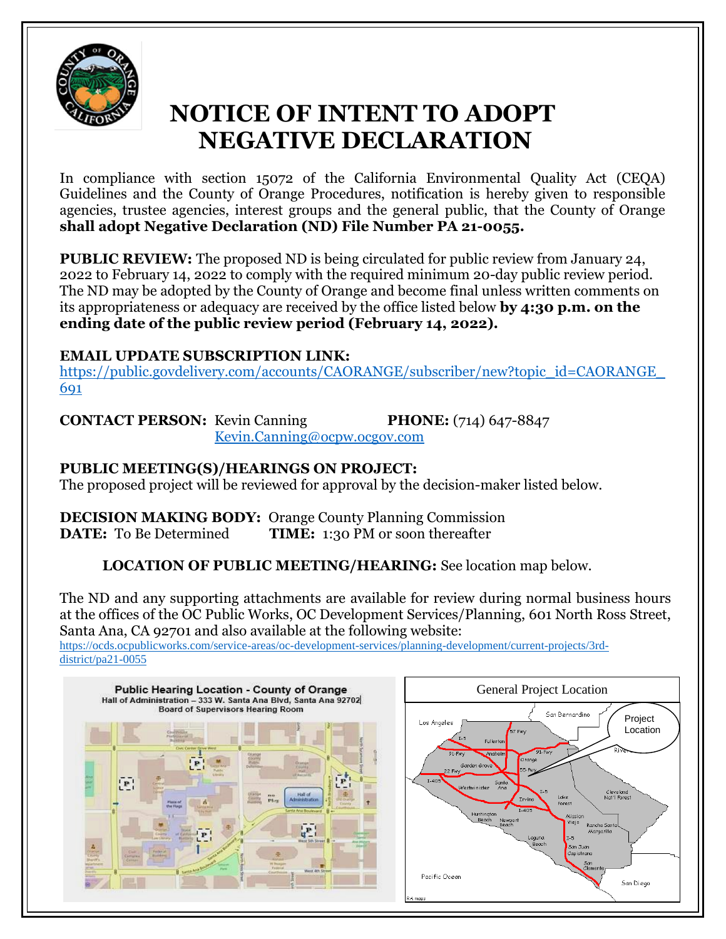

# **NOTICE OF INTENT TO ADOPT NEGATIVE DECLARATION**

In compliance with section 15072 of the California Environmental Quality Act (CEQA) Guidelines and the County of Orange Procedures, notification is hereby given to responsible agencies, trustee agencies, interest groups and the general public, that the County of Orange **shall adopt Negative Declaration (ND) File Number PA 21-0055.**

**PUBLIC REVIEW:** The proposed ND is being circulated for public review from January 24, 2022 to February 14, 2022 to comply with the required minimum 20-day public review period. The ND may be adopted by the County of Orange and become final unless written comments on its appropriateness or adequacy are received by the office listed below **by 4:30 p.m. on the ending date of the public review period (February 14, 2022).**

## **EMAIL UPDATE SUBSCRIPTION LINK:**

[https://public.govdelivery.com/accounts/CAORANGE/subscriber/new?topic\\_id=CAORANGE\\_](https://public.govdelivery.com/accounts/CAORANGE/subscriber/new?topic_id=CAORANGE_691) [691](https://public.govdelivery.com/accounts/CAORANGE/subscriber/new?topic_id=CAORANGE_691)

**CONTACT PERSON:** Kevin Canning **PHONE:** (714) 647-8847

[Kevin.Canning@ocpw.ocgov.com](mailto:Kevin.Canning@ocpw.ocgov.com)

## **PUBLIC MEETING(S)/HEARINGS ON PROJECT:**

The proposed project will be reviewed for approval by the decision-maker listed below.

**DECISION MAKING BODY:** Orange County Planning Commission **DATE:** To Be Determined **TIME:** 1:30 PM or soon thereafter

**LOCATION OF PUBLIC MEETING/HEARING:** See location map below.

The ND and any supporting attachments are available for review during normal business hours at the offices of the OC Public Works, OC Development Services/Planning, 601 North Ross Street, Santa Ana, CA 92701 and also available at the following website:

[https://ocds.ocpublicworks.com/service-areas/oc-development-services/planning-development/current-projects/3rd](https://ocds.ocpublicworks.com/service-areas/oc-development-services/planning-development/current-projects/3rd-district/pa21-0055)[district/pa21-0055](https://ocds.ocpublicworks.com/service-areas/oc-development-services/planning-development/current-projects/3rd-district/pa21-0055)